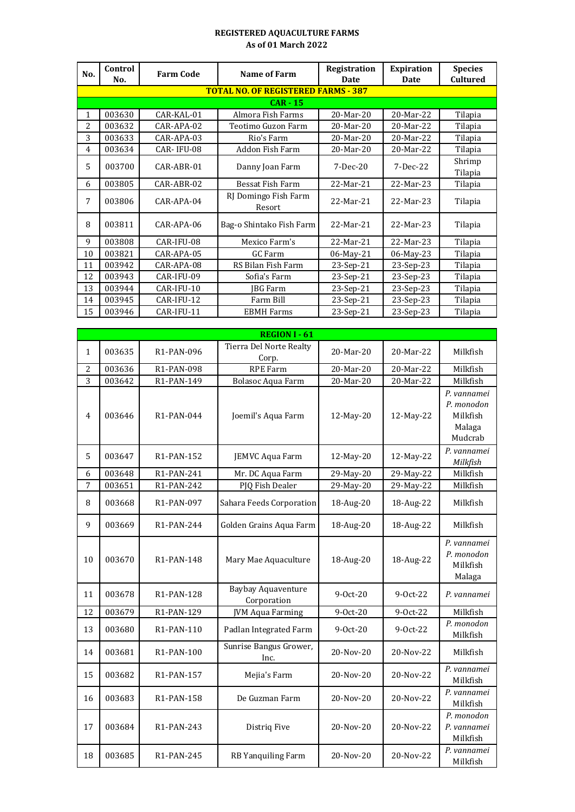## **REGISTERED AQUACULTURE FARMS As of 01 March 2022**

| No. | Control<br>No. | <b>Farm Code</b> | <b>Name of Farm</b>                        | Registration<br>Date | <b>Expiration</b><br><b>Date</b> | <b>Species</b><br><b>Cultured</b> |
|-----|----------------|------------------|--------------------------------------------|----------------------|----------------------------------|-----------------------------------|
|     |                |                  | <b>TOTAL NO. OF REGISTERED FARMS - 387</b> |                      |                                  |                                   |
|     |                |                  | $CAR - 15$                                 |                      |                                  |                                   |
| 1   | 003630         | CAR-KAL-01       | Almora Fish Farms                          | 20-Mar-20            | 20-Mar-22                        | Tilapia                           |
| 2   | 003632         | CAR-APA-02       | Teotimo Guzon Farm                         | 20-Mar-20            | 20-Mar-22                        | Tilapia                           |
| 3   | 003633         | CAR-APA-03       | Rio's Farm                                 | 20-Mar-20            | 20-Mar-22                        | Tilapia                           |
| 4   | 003634         | CAR-IFU-08       | Addon Fish Farm                            | 20-Mar-20            | 20-Mar-22                        | Tilapia                           |
| 5   | 003700         | CAR-ABR-01       | Danny Joan Farm                            | $7-Dec-20$           | 7-Dec-22                         | Shrimp                            |
|     |                |                  |                                            |                      |                                  | Tilapia                           |
| 6   | 003805         | CAR-ABR-02       | Bessat Fish Farm                           | 22-Mar-21            | 22-Mar-23                        | Tilapia                           |
| 7   | 003806         | CAR-APA-04       | RJ Domingo Fish Farm<br>Resort             | 22-Mar-21            | 22-Mar-23                        | Tilapia                           |
| 8   | 003811         | CAR-APA-06       | Bag-o Shintako Fish Farm                   | 22-Mar-21            | 22-Mar-23                        | Tilapia                           |
| 9   | 003808         | CAR-IFU-08       | Mexico Farm's                              | 22-Mar-21            | 22-Mar-23                        | Tilapia                           |
| 10  | 003821         | CAR-APA-05       | GC Farm                                    | 06-May-21            | 06-May-23                        | Tilapia                           |
| 11  | 003942         | CAR-APA-08       | RS Bilan Fish Farm                         | $23-Sep-21$          | 23-Sep-23                        | Tilapia                           |
| 12  | 003943         | CAR-IFU-09       | Sofia's Farm                               | 23-Sep-21            | 23-Sep-23                        | Tilapia                           |
| 13  | 003944         | CAR-IFU-10       | <b>JBG</b> Farm                            | $23-Sep-21$          | 23-Sep-23                        | Tilapia                           |
| 14  | 003945         | CAR-IFU-12       | Farm Bill                                  | 23-Sep-21            | 23-Sep-23                        | Tilapia                           |
| 15  | 003946         | CAR-IFU-11       | <b>EBMH</b> Farms                          | 23-Sep-21            | 23-Sep-23                        | Tilapia                           |

|                |        |                         | <b>REGION I - 61</b>                     |            |            |                                                            |
|----------------|--------|-------------------------|------------------------------------------|------------|------------|------------------------------------------------------------|
| $\mathbf{1}$   | 003635 | R1-PAN-096              | Tierra Del Norte Realty<br>Corp.         | 20-Mar-20  | 20-Mar-22  | Milkfish                                                   |
| $\overline{c}$ | 003636 | R1-PAN-098              | <b>RPE Farm</b>                          | 20-Mar-20  | 20-Mar-22  | Milkfish                                                   |
| 3              | 003642 | R1-PAN-149              | Bolasoc Aqua Farm                        | 20-Mar-20  | 20-Mar-22  | Milkfish                                                   |
| $\overline{4}$ | 003646 | R1-PAN-044              | Joemil's Aqua Farm                       | 12-May-20  | 12-May-22  | P. vannamei<br>P. monodon<br>Milkfish<br>Malaga<br>Mudcrab |
| 5              | 003647 | R1-PAN-152              | JEMVC Aqua Farm                          | 12-May-20  | 12-May-22  | P. vannamei<br>Milkfish                                    |
| 6              | 003648 | R1-PAN-241              | Mr. DC Aqua Farm                         | 29-May-20  | 29-May-22  | Milkfish                                                   |
| 7              | 003651 | R1-PAN-242              | PJQ Fish Dealer                          | 29-May-20  | 29-May-22  | Milkfish                                                   |
| 8              | 003668 | R1-PAN-097              | Sahara Feeds Corporation                 | 18-Aug-20  | 18-Aug-22  | Milkfish                                                   |
| 9              | 003669 | R1-PAN-244              | Golden Grains Aqua Farm                  | 18-Aug-20  | 18-Aug-22  | Milkfish                                                   |
| 10             | 003670 | R1-PAN-148              | Mary Mae Aquaculture                     | 18-Aug-20  | 18-Aug-22  | P. vannamei<br>P. monodon<br>Milkfish<br>Malaga            |
| 11             | 003678 | R <sub>1</sub> -PAN-128 | <b>Baybay Aquaventure</b><br>Corporation | $9-0ct-20$ | $9-0ct-22$ | P. vannamei                                                |
| 12             | 003679 | R1-PAN-129              | <b>JVM Aqua Farming</b>                  | 9-Oct-20   | 9-Oct-22   | Milkfish                                                   |
| 13             | 003680 | R1-PAN-110              | Padlan Integrated Farm                   | $9-0ct-20$ | 9-0ct-22   | P. monodon<br>Milkfish                                     |
| 14             | 003681 | R1-PAN-100              | Sunrise Bangus Grower,<br>Inc.           | 20-Nov-20  | 20-Nov-22  | Milkfish                                                   |
| 15             | 003682 | R1-PAN-157              | Mejia's Farm                             | 20-Nov-20  | 20-Nov-22  | P. vannamei<br>Milkfish                                    |
| 16             | 003683 | R1-PAN-158              | De Guzman Farm                           | 20-Nov-20  | 20-Nov-22  | P. vannamei<br>Milkfish                                    |
| 17             | 003684 | R1-PAN-243              | Distriq Five                             | 20-Nov-20  | 20-Nov-22  | P. monodon<br>P. vannamei<br>Milkfish                      |
| 18             | 003685 | R1-PAN-245              | RB Yanquiling Farm                       | 20-Nov-20  | 20-Nov-22  | P. vannamei<br>Milkfish                                    |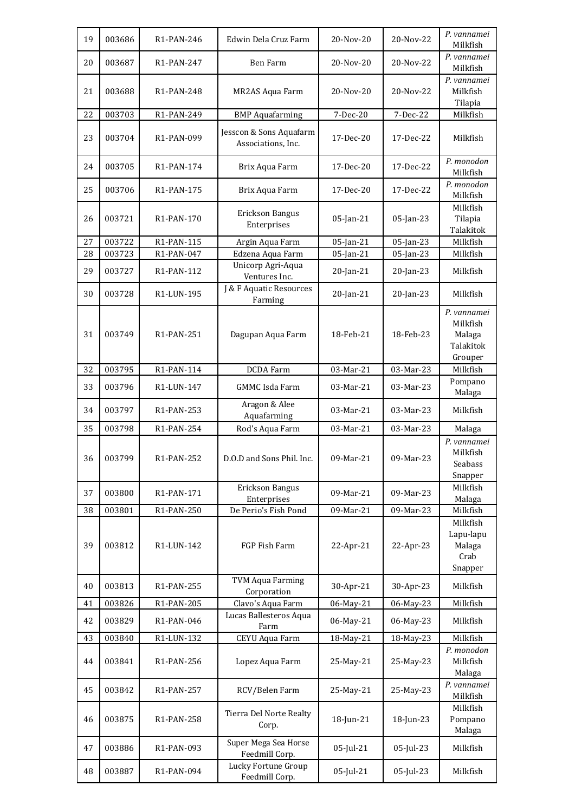| 19 | 003686 | R1-PAN-246              | Edwin Dela Cruz Farm                          | 20-Nov-20 | 20-Nov-22    | P. vannamei<br>Milkfish                                   |
|----|--------|-------------------------|-----------------------------------------------|-----------|--------------|-----------------------------------------------------------|
| 20 | 003687 | R1-PAN-247              | Ben Farm                                      | 20-Nov-20 | 20-Nov-22    | P. vannamei<br>Milkfish                                   |
| 21 | 003688 | R <sub>1</sub> -PAN-248 | MR2AS Aqua Farm                               | 20-Nov-20 | 20-Nov-22    | P. vannamei<br>Milkfish<br>Tilapia                        |
| 22 | 003703 | R1-PAN-249              | <b>BMP</b> Aquafarming                        | 7-Dec-20  | 7-Dec-22     | Milkfish                                                  |
| 23 | 003704 | R1-PAN-099              | Jesscon & Sons Aquafarm<br>Associations, Inc. | 17-Dec-20 | 17-Dec-22    | Milkfish                                                  |
| 24 | 003705 | R1-PAN-174              | Brix Aqua Farm                                | 17-Dec-20 | 17-Dec-22    | P. monodon<br>Milkfish                                    |
| 25 | 003706 | R1-PAN-175              | Brix Aqua Farm                                | 17-Dec-20 | 17-Dec-22    | P. monodon<br>Milkfish                                    |
| 26 | 003721 | R1-PAN-170              | Erickson Bangus<br>Enterprises                | 05-Jan-21 | 05-Jan-23    | Milkfish<br>Tilapia<br>Talakitok                          |
| 27 | 003722 | R1-PAN-115              | Argin Aqua Farm                               | 05-Jan-21 | $05$ -Jan-23 | Milkfish                                                  |
| 28 | 003723 | R1-PAN-047              | Edzena Aqua Farm                              | 05-Jan-21 | 05-Jan-23    | Milkfish                                                  |
| 29 | 003727 | R1-PAN-112              | Unicorp Agri-Aqua<br>Ventures Inc.            | 20-Jan-21 | 20-Jan-23    | Milkfish                                                  |
| 30 | 003728 | R1-LUN-195              | J & F Aquatic Resources<br>Farming            | 20-Jan-21 | 20-Jan-23    | Milkfish                                                  |
| 31 | 003749 | R1-PAN-251              | Dagupan Aqua Farm                             | 18-Feb-21 | 18-Feb-23    | P. vannamei<br>Milkfish<br>Malaga<br>Talakitok<br>Grouper |
| 32 | 003795 | R1-PAN-114              | <b>DCDA</b> Farm                              | 03-Mar-21 | 03-Mar-23    | Milkfish                                                  |
| 33 | 003796 | R1-LUN-147              | <b>GMMC</b> Isda Farm                         | 03-Mar-21 | 03-Mar-23    | Pompano<br>Malaga                                         |
| 34 | 003797 | R1-PAN-253              | Aragon & Alee<br>Aquafarming                  | 03-Mar-21 | 03-Mar-23    | Milkfish                                                  |
| 35 | 003798 | R1-PAN-254              | Rod's Aqua Farm                               | 03-Mar-21 | 03-Mar-23    | Malaga                                                    |
| 36 | 003799 | R1-PAN-252              | D.O.D and Sons Phil. Inc.                     | 09-Mar-21 | 09-Mar-23    | P. vannamei<br>Milkfish<br>Seabass<br>Snapper             |
| 37 | 003800 | R1-PAN-171              | Erickson Bangus<br>Enterprises                | 09-Mar-21 | 09-Mar-23    | Milkfish<br>Malaga                                        |
| 38 | 003801 | R1-PAN-250              | De Perio's Fish Pond                          | 09-Mar-21 | 09-Mar-23    | Milkfish                                                  |
| 39 | 003812 | R1-LUN-142              | FGP Fish Farm                                 | 22-Apr-21 | 22-Apr-23    | Milkfish<br>Lapu-lapu<br>Malaga<br>Crab<br>Snapper        |
| 40 | 003813 | R1-PAN-255              | <b>TVM Aqua Farming</b><br>Corporation        | 30-Apr-21 | 30-Apr-23    | Milkfish                                                  |
| 41 | 003826 | R1-PAN-205              | Clavo's Aqua Farm                             | 06-May-21 | 06-May-23    | Milkfish                                                  |
| 42 | 003829 | R1-PAN-046              | Lucas Ballesteros Aqua<br>Farm                | 06-May-21 | 06-May-23    | Milkfish                                                  |
| 43 | 003840 | R1-LUN-132              | CEYU Aqua Farm                                | 18-May-21 | 18-May-23    | Milkfish                                                  |
| 44 | 003841 | R1-PAN-256              | Lopez Aqua Farm                               | 25-May-21 | 25-May-23    | P. monodon<br>Milkfish<br>Malaga                          |
| 45 | 003842 | R1-PAN-257              | RCV/Belen Farm                                | 25-May-21 | 25-May-23    | P. vannamei<br>Milkfish                                   |
| 46 | 003875 | R1-PAN-258              | Tierra Del Norte Realty<br>Corp.              | 18-Jun-21 | 18-Jun-23    | Milkfish<br>Pompano<br>Malaga                             |
| 47 | 003886 | R1-PAN-093              | Super Mega Sea Horse<br>Feedmill Corp.        | 05-Jul-21 | 05-Jul-23    | Milkfish                                                  |
| 48 | 003887 | R1-PAN-094              | Lucky Fortune Group<br>Feedmill Corp.         | 05-Jul-21 | 05-Jul-23    | Milkfish                                                  |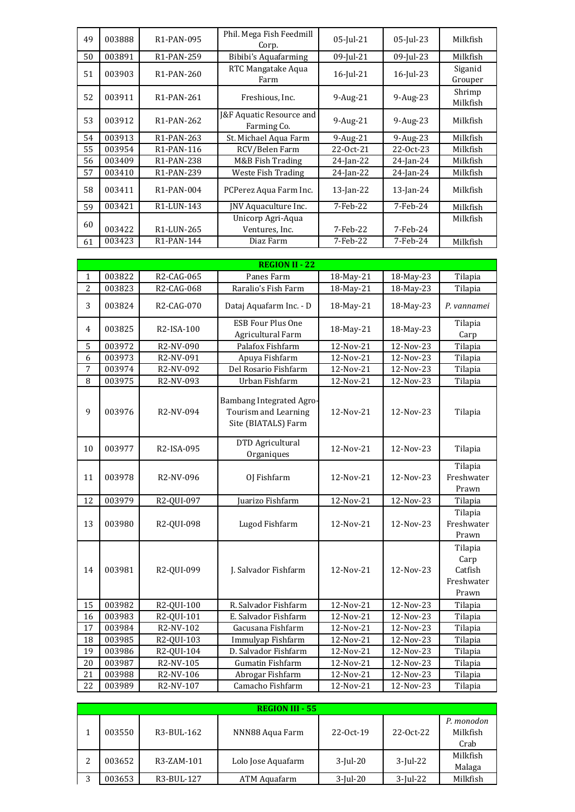| 49 | 003888 | R1-PAN-095              | Phil. Mega Fish Feedmill<br>Corp.                  | 05-Jul-21       | 05-Jul-23       | Milkfish           |
|----|--------|-------------------------|----------------------------------------------------|-----------------|-----------------|--------------------|
| 50 | 003891 | R <sub>1</sub> -PAN-259 | Bibibi's Aquafarming                               | 09-Jul-21       | 09-Jul-23       | Milkfish           |
| 51 | 003903 | R <sub>1</sub> -PAN-260 | RTC Mangatake Aqua<br>Farm                         | $16$ -Jul- $21$ | $16$ -Jul-23    | Siganid<br>Grouper |
| 52 | 003911 | R <sub>1</sub> -PAN-261 | Freshious, Inc.                                    | 9-Aug-21        | 9-Aug-23        | Shrimp<br>Milkfish |
| 53 | 003912 | R <sub>1</sub> -PAN-262 | <b>J&amp;F Aquatic Resource and</b><br>Farming Co. | 9-Aug-21        | 9-Aug-23        | Milkfish           |
| 54 | 003913 | R1-PAN-263              | St. Michael Aqua Farm                              | $9-Aug-21$      | $9-Aug-23$      | Milkfish           |
| 55 | 003954 | R <sub>1</sub> -PAN-116 | RCV/Belen Farm                                     | 22-0ct-21       | 22-Oct-23       | Milkfish           |
| 56 | 003409 | R <sub>1</sub> -PAN-238 | M&B Fish Trading                                   | $24$ -Jan-22    | $24$ -Jan- $24$ | Milkfish           |
| 57 | 003410 | R <sub>1</sub> -PAN-239 | Weste Fish Trading                                 | $24$ -Jan-22    | $24$ -Jan- $24$ | Milkfish           |
| 58 | 003411 | R <sub>1</sub> -PAN-004 | PCPerez Aqua Farm Inc.                             | $13$ -Jan-22    | $13$ -Jan-24    | Milkfish           |
| 59 | 003421 | R <sub>1</sub> -LUN-143 | JNV Aquaculture Inc.                               | 7-Feb-22        | 7-Feb-24        | Milkfish           |
| 60 | 003422 | R <sub>1</sub> -LUN-265 | Unicorp Agri-Aqua<br>Ventures, Inc.                | 7-Feb-22        | 7-Feb-24        | Milkfish           |
| 61 | 003423 | R <sub>1</sub> -PAN-144 | Diaz Farm                                          | 7-Feb-22        | 7-Feb-24        | Milkfish           |

|                | <b>REGION II - 22</b> |            |                                                                         |           |           |                                                   |  |  |
|----------------|-----------------------|------------|-------------------------------------------------------------------------|-----------|-----------|---------------------------------------------------|--|--|
| 1              | 003822                | R2-CAG-065 | Panes Farm                                                              | 18-May-21 | 18-May-23 | Tilapia                                           |  |  |
| $\overline{c}$ | 003823                | R2-CAG-068 | Raralio's Fish Farm                                                     | 18-May-21 | 18-May-23 | Tilapia                                           |  |  |
| 3              | 003824                | R2-CAG-070 | Dataj Aquafarm Inc. - D                                                 | 18-May-21 | 18-May-23 | P. vannamei                                       |  |  |
| 4              | 003825                | R2-ISA-100 | <b>ESB Four Plus One</b><br>Agricultural Farm                           | 18-May-21 | 18-May-23 | Tilapia<br>Carp                                   |  |  |
| 5              | 003972                | R2-NV-090  | Palafox Fishfarm                                                        | 12-Nov-21 | 12-Nov-23 | Tilapia                                           |  |  |
| 6              | 003973                | R2-NV-091  | Apuya Fishfarm                                                          | 12-Nov-21 | 12-Nov-23 | Tilapia                                           |  |  |
| 7              | 003974                | R2-NV-092  | Del Rosario Fishfarm                                                    | 12-Nov-21 | 12-Nov-23 | Tilapia                                           |  |  |
| 8              | 003975                | R2-NV-093  | Urban Fishfarm                                                          | 12-Nov-21 | 12-Nov-23 | Tilapia                                           |  |  |
| 9              | 003976                | R2-NV-094  | Bambang Integrated Agro-<br>Tourism and Learning<br>Site (BIATALS) Farm | 12-Nov-21 | 12-Nov-23 | Tilapia                                           |  |  |
| 10             | 003977                | R2-ISA-095 | DTD Agricultural<br>Organiques                                          | 12-Nov-21 | 12-Nov-23 | Tilapia                                           |  |  |
| 11             | 003978                | R2-NV-096  | OJ Fishfarm                                                             | 12-Nov-21 | 12-Nov-23 | Tilapia<br>Freshwater<br>Prawn                    |  |  |
| 12             | 003979                | R2-QUI-097 | Juarizo Fishfarm                                                        | 12-Nov-21 | 12-Nov-23 | Tilapia                                           |  |  |
| 13             | 003980                | R2-QUI-098 | Lugod Fishfarm                                                          | 12-Nov-21 | 12-Nov-23 | Tilapia<br>Freshwater<br>Prawn                    |  |  |
| 14             | 003981                | R2-QUI-099 | J. Salvador Fishfarm                                                    | 12-Nov-21 | 12-Nov-23 | Tilapia<br>Carp<br>Catfish<br>Freshwater<br>Prawn |  |  |
| 15             | 003982                | R2-QUI-100 | R. Salvador Fishfarm                                                    | 12-Nov-21 | 12-Nov-23 | Tilapia                                           |  |  |
| 16             | 003983                | R2-QUI-101 | E. Salvador Fishfarm                                                    | 12-Nov-21 | 12-Nov-23 | Tilapia                                           |  |  |
| 17             | 003984                | R2-NV-102  | Gacusana Fishfarm                                                       | 12-Nov-21 | 12-Nov-23 | Tilapia                                           |  |  |
| 18             | 003985                | R2-QUI-103 | Immulyap Fishfarm                                                       | 12-Nov-21 | 12-Nov-23 | Tilapia                                           |  |  |
| 19             | 003986                | R2-QUI-104 | D. Salvador Fishfarm                                                    | 12-Nov-21 | 12-Nov-23 | Tilapia                                           |  |  |
| 20             | 003987                | R2-NV-105  | <b>Gumatin Fishfarm</b>                                                 | 12-Nov-21 | 12-Nov-23 | Tilapia                                           |  |  |
| 21             | 003988                | R2-NV-106  | Abrogar Fishfarm                                                        | 12-Nov-21 | 12-Nov-23 | Tilapia                                           |  |  |
| 22             | 003989                | R2-NV-107  | Camacho Fishfarm                                                        | 12-Nov-21 | 12-Nov-23 | Tilapia                                           |  |  |

|   |        |            | <b>REGION III - 55</b> |             |             |                                |
|---|--------|------------|------------------------|-------------|-------------|--------------------------------|
|   | 003550 | R3-BUL-162 | NNN88 Aqua Farm        | 22-Oct-19   | 22-0ct-22   | P. monodon<br>Milkfish<br>Crab |
|   | 003652 | R3-ZAM-101 | Lolo Jose Aquafarm     | $3$ -Jul-20 | $3$ -Jul-22 | Milkfish<br>Malaga             |
| 3 | 003653 | R3-BUL-127 | ATM Aquafarm           | $3$ -Jul-20 | $3$ -Jul-22 | Milkfish                       |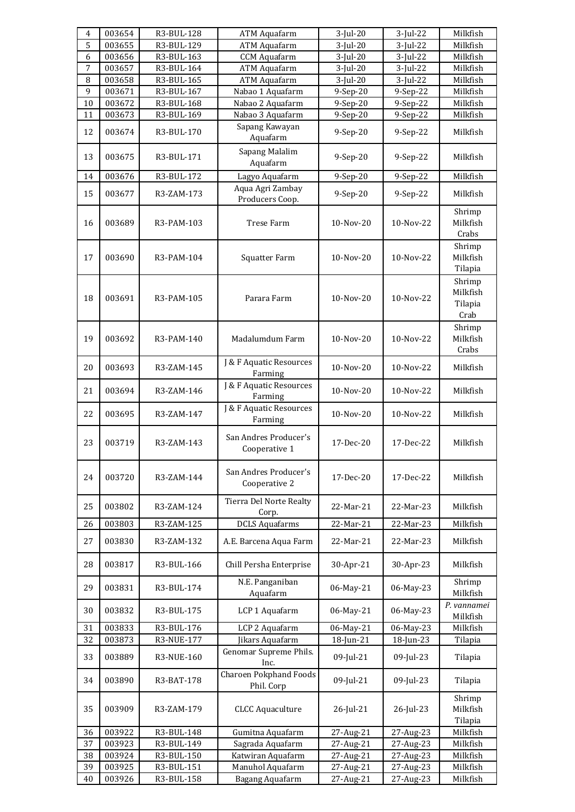| $\overline{4}$ | 003654 | R3-BUL-128 | <b>ATM Aquafarm</b>                         | $3$ -Jul-20 | $3$ -Jul-22 | Milkfish                              |
|----------------|--------|------------|---------------------------------------------|-------------|-------------|---------------------------------------|
| $\overline{5}$ | 003655 | R3-BUL-129 | <b>ATM Aquafarm</b>                         | $3$ -Jul-20 | $3$ -Jul-22 | Milkfish                              |
| 6              | 003656 | R3-BUL-163 | <b>CCM</b> Aquafarm                         | $3$ -Jul-20 | $3$ -Jul-22 | Milkfish                              |
| $\overline{7}$ | 003657 | R3-BUL-164 | <b>ATM Aquafarm</b>                         | $3$ -Jul-20 | $3$ -Jul-22 | Milkfish                              |
| 8              | 003658 | R3-BUL-165 | <b>ATM Aquafarm</b>                         | $3$ -Jul-20 | $3$ -Jul-22 | Milkfish                              |
| 9              | 003671 | R3-BUL-167 | Nabao 1 Aquafarm                            | 9-Sep-20    | 9-Sep-22    | Milkfish                              |
| 10             | 003672 | R3-BUL-168 | Nabao 2 Aquafarm                            | 9-Sep-20    | 9-Sep-22    | Milkfish                              |
| 11             | 003673 | R3-BUL-169 | Nabao 3 Aquafarm                            | 9-Sep-20    | 9-Sep-22    | Milkfish                              |
| 12             | 003674 | R3-BUL-170 | Sapang Kawayan<br>Aquafarm                  | 9-Sep-20    | 9-Sep-22    | Milkfish                              |
| 13             | 003675 | R3-BUL-171 | Sapang Malalim<br>Aquafarm                  | 9-Sep-20    | 9-Sep-22    | Milkfish                              |
| 14             | 003676 | R3-BUL-172 | Lagyo Aquafarm                              | 9-Sep-20    | 9-Sep-22    | Milkfish                              |
| 15             | 003677 | R3-ZAM-173 | Aqua Agri Zambay<br>Producers Coop.         | 9-Sep-20    | 9-Sep-22    | Milkfish                              |
| 16             | 003689 | R3-PAM-103 | <b>Trese Farm</b>                           | 10-Nov-20   | 10-Nov-22   | Shrimp<br>Milkfish<br>Crabs           |
| 17             | 003690 | R3-PAM-104 | Squatter Farm                               | 10-Nov-20   | 10-Nov-22   | Shrimp<br>Milkfish<br>Tilapia         |
| 18             | 003691 | R3-PAM-105 | Parara Farm                                 | 10-Nov-20   | 10-Nov-22   | Shrimp<br>Milkfish<br>Tilapia<br>Crab |
| 19             | 003692 | R3-PAM-140 | Madalumdum Farm                             | 10-Nov-20   | 10-Nov-22   | Shrimp<br>Milkfish<br>Crabs           |
| 20             | 003693 | R3-ZAM-145 | J & F Aquatic Resources<br>Farming          | 10-Nov-20   | 10-Nov-22   | Milkfish                              |
| 21             | 003694 | R3-ZAM-146 | J & F Aquatic Resources<br>Farming          | 10-Nov-20   | 10-Nov-22   | Milkfish                              |
| 22             | 003695 | R3-ZAM-147 | J & F Aquatic Resources<br>Farming          | 10-Nov-20   | 10-Nov-22   | Milkfish                              |
| 23             | 003719 | R3-ZAM-143 | San Andres Producer's<br>Cooperative 1      | 17-Dec-20   | 17-Dec-22   | Milkfish                              |
| 24             | 003720 | R3-ZAM-144 | San Andres Producer's<br>Cooperative 2      | 17-Dec-20   | 17-Dec-22   | Milkfish                              |
| 25             | 003802 | R3-ZAM-124 | Tierra Del Norte Realty<br>Corp.            | 22-Mar-21   | 22-Mar-23   | Milkfish                              |
| 26             | 003803 | R3-ZAM-125 | <b>DCLS Aquafarms</b>                       | 22-Mar-21   | 22-Mar-23   | Milkfish                              |
| 27             | 003830 | R3-ZAM-132 | A.E. Barcena Aqua Farm                      | 22-Mar-21   | 22-Mar-23   | Milkfish                              |
| 28             | 003817 | R3-BUL-166 | Chill Persha Enterprise                     | 30-Apr-21   | 30-Apr-23   | Milkfish                              |
| 29             | 003831 | R3-BUL-174 | N.E. Panganiban<br>Aquafarm                 | 06-May-21   | 06-May-23   | Shrimp<br>Milkfish                    |
| 30             | 003832 | R3-BUL-175 | LCP 1 Aquafarm                              | 06-May-21   | 06-May-23   | P. vannamei<br>Milkfish               |
| 31             | 003833 | R3-BUL-176 | LCP 2 Aquafarm                              | 06-May-21   | 06-May-23   | Milkfish                              |
| 32             | 003873 | R3-NUE-177 | Jikars Aquafarm                             | 18-Jun-21   | 18-Jun-23   | Tilapia                               |
| 33             | 003889 | R3-NUE-160 | Genomar Supreme Phils.<br>Inc.              | 09-Jul-21   | 09-Jul-23   | Tilapia                               |
| 34             | 003890 | R3-BAT-178 | <b>Charoen Pokphand Foods</b><br>Phil. Corp | 09-Jul-21   | 09-Jul-23   | Tilapia                               |
| 35             | 003909 | R3-ZAM-179 | <b>CLCC Aquaculture</b>                     | 26-Jul-21   | 26-Jul-23   | Shrimp<br>Milkfish<br>Tilapia         |
| 36             | 003922 | R3-BUL-148 | Gumitna Aquafarm                            | 27-Aug-21   | 27-Aug-23   | Milkfish                              |
| 37             | 003923 | R3-BUL-149 | Sagrada Aquafarm                            | 27-Aug-21   | 27-Aug-23   | Milkfish                              |
| 38             | 003924 | R3-BUL-150 | Katwiran Aquafarm                           | 27-Aug-21   | 27-Aug-23   | Milkfish                              |
| 39             | 003925 | R3-BUL-151 | Manuhol Aquafarm                            | 27-Aug-21   | 27-Aug-23   | Milkfish                              |
| 40             | 003926 | R3-BUL-158 | Bagang Aquafarm                             | 27-Aug-21   | 27-Aug-23   | Milkfish                              |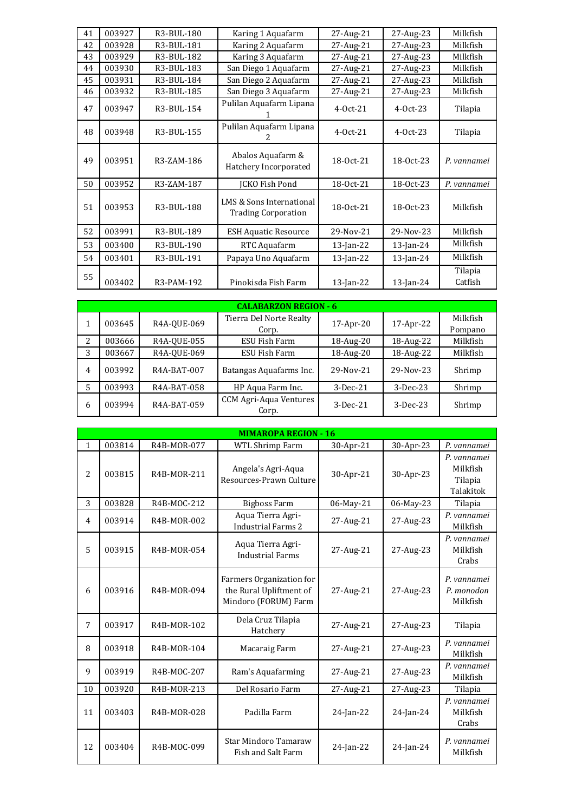| 41 | 003927 | R3-BUL-180 | Karing 1 Aquafarm                                      | 27-Aug-21    | 27-Aug-23    | Milkfish           |
|----|--------|------------|--------------------------------------------------------|--------------|--------------|--------------------|
| 42 | 003928 | R3-BUL-181 | Karing 2 Aquafarm                                      | 27-Aug-21    | 27-Aug-23    | Milkfish           |
| 43 | 003929 | R3-BUL-182 | Karing 3 Aquafarm                                      | 27-Aug-21    | 27-Aug-23    | Milkfish           |
| 44 | 003930 | R3-BUL-183 | San Diego 1 Aquafarm                                   | 27-Aug-21    | 27-Aug-23    | Milkfish           |
| 45 | 003931 | R3-BUL-184 | San Diego 2 Aquafarm                                   | 27-Aug-21    | 27-Aug-23    | Milkfish           |
| 46 | 003932 | R3-BUL-185 | San Diego 3 Aquafarm                                   | 27-Aug-21    | 27-Aug-23    | Milkfish           |
| 47 | 003947 | R3-BUL-154 | Pulilan Aquafarm Lipana                                | $4-0ct-21$   | $4-0ct-23$   | Tilapia            |
| 48 | 003948 | R3-BUL-155 | Pulilan Aquafarm Lipana                                | $4-0ct-21$   | $4-0ct-23$   | Tilapia            |
| 49 | 003951 | R3-ZAM-186 | Abalos Aquafarm &<br>Hatchery Incorporated             | 18-0ct-21    | 18-0ct-23    | P. vannamei        |
| 50 | 003952 | R3-ZAM-187 | JCKO Fish Pond                                         | 18-0ct-21    | 18-0ct-23    | P. vannamei        |
| 51 | 003953 | R3-BUL-188 | LMS & Sons International<br><b>Trading Corporation</b> | 18-0ct-21    | 18-0ct-23    | Milkfish           |
| 52 | 003991 | R3-BUL-189 | <b>ESH Aquatic Resource</b>                            | 29-Nov-21    | 29-Nov-23    | Milkfish           |
| 53 | 003400 | R3-BUL-190 | RTC Aquafarm                                           | $13$ -Jan-22 | $13$ -Jan-24 | Milkfish           |
| 54 | 003401 | R3-BUL-191 | Papaya Uno Aquafarm                                    | $13$ -Jan-22 | $13$ -Jan-24 | Milkfish           |
| 55 | 003402 | R3-PAM-192 | Pinokisda Fish Farm                                    | $13$ -Jan-22 | $13$ -Jan-24 | Tilapia<br>Catfish |

|   |        |             | <b>CALABARZON REGION - 6</b>     |              |            |                     |
|---|--------|-------------|----------------------------------|--------------|------------|---------------------|
|   | 003645 | R4A-OUE-069 | Tierra Del Norte Realty<br>Corp. | $17$ -Apr-20 | 17-Apr-22  | Milkfish<br>Pompano |
| 2 | 003666 | R4A-OUE-055 | ESU Fish Farm                    | 18-Aug-20    | 18-Aug-22  | Milkfish            |
| 3 | 003667 | R4A-OUE-069 | ESU Fish Farm                    | 18-Aug-20    | 18-Aug-22  | Milkfish            |
| 4 | 003992 | R4A-BAT-007 | Batangas Aquafarms Inc.          | 29-Nov-21    | 29-Nov-23  | Shrimp              |
|   | 003993 | R4A-BAT-058 | HP Aqua Farm Inc.                | $3-Dec-21$   | $3-Dec-23$ | Shrimp              |
| 6 | 003994 | R4A-BAT-059 | CCM Agri-Aqua Ventures<br>Corp.  | $3-Dec-21$   | $3-Dec-23$ | Shrimp              |

|              |        |             | <b>MIMAROPA REGION - 16</b>                                                 |           |           |                                                 |
|--------------|--------|-------------|-----------------------------------------------------------------------------|-----------|-----------|-------------------------------------------------|
| $\mathbf{1}$ | 003814 | R4B-MOR-077 | <b>WTL Shrimp Farm</b>                                                      | 30-Apr-21 | 30-Apr-23 | P. vannamei                                     |
| 2            | 003815 | R4B-MOR-211 | Angela's Agri-Aqua<br>Resources-Prawn Culture                               | 30-Apr-21 | 30-Apr-23 | P. vannamei<br>Milkfish<br>Tilapia<br>Talakitok |
| 3            | 003828 | R4B-MOC-212 | <b>Bigboss Farm</b>                                                         | 06-May-21 | 06-May-23 | Tilapia                                         |
| 4            | 003914 | R4B-MOR-002 | Aqua Tierra Agri-<br><b>Industrial Farms 2</b>                              | 27-Aug-21 | 27-Aug-23 | P. vannamei<br>Milkfish                         |
| 5            | 003915 | R4B-MOR-054 | Aqua Tierra Agri-<br><b>Industrial Farms</b>                                | 27-Aug-21 | 27-Aug-23 | P. vannamei<br>Milkfish<br>Crabs                |
| 6            | 003916 | R4B-MOR-094 | Farmers Organization for<br>the Rural Upliftment of<br>Mindoro (FORUM) Farm | 27-Aug-21 | 27-Aug-23 | P. vannamei<br>P. monodon<br>Milkfish           |
| 7            | 003917 | R4B-MOR-102 | Dela Cruz Tilapia<br>Hatchery                                               | 27-Aug-21 | 27-Aug-23 | Tilapia                                         |
| 8            | 003918 | R4B-MOR-104 | Macaraig Farm                                                               | 27-Aug-21 | 27-Aug-23 | P. vannamei<br>Milkfish                         |
| 9            | 003919 | R4B-MOC-207 | Ram's Aquafarming                                                           | 27-Aug-21 | 27-Aug-23 | P. vannamei<br>Milkfish                         |
| 10           | 003920 | R4B-MOR-213 | Del Rosario Farm                                                            | 27-Aug-21 | 27-Aug-23 | Tilapia                                         |
| 11           | 003403 | R4B-MOR-028 | Padilla Farm                                                                | 24-Jan-22 | 24-Jan-24 | P. vannamei<br>Milkfish<br>Crabs                |
| 12           | 003404 | R4B-MOC-099 | <b>Star Mindoro Tamaraw</b><br>Fish and Salt Farm                           | 24-Jan-22 | 24-Jan-24 | P. vannamei<br>Milkfish                         |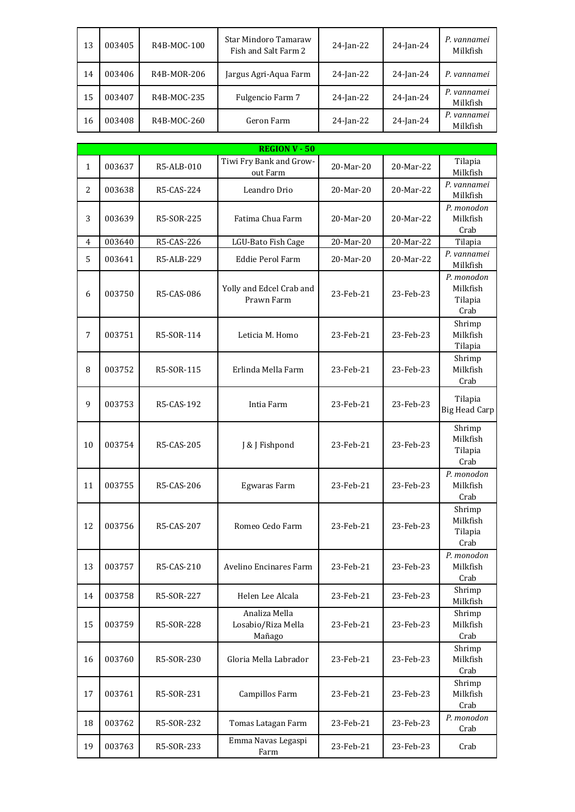| 13 | 003405 | R4B-MOC-100 | Star Mindoro Tamaraw<br>Fish and Salt Farm 2 | $24$ -Jan-22 | 24-Jan-24 | P. vannamei<br>Milkfish |
|----|--------|-------------|----------------------------------------------|--------------|-----------|-------------------------|
| 14 | 003406 | R4B-MOR-206 | Jargus Agri-Aqua Farm                        | $24$ -Jan-22 | 24-Jan-24 | P. vannamei             |
| 15 | 003407 | R4B-MOC-235 | Fulgencio Farm 7                             | $24$ -Jan-22 | 24-Jan-24 | P. vannamei<br>Milkfish |
| 16 | 003408 | R4B-MOC-260 | Geron Farm                                   | 24-Jan-22    | 24-Jan-24 | P. vannamei<br>Milkfish |

|                |        |            |                                               |           |           | Milkfish                                  |
|----------------|--------|------------|-----------------------------------------------|-----------|-----------|-------------------------------------------|
|                |        |            |                                               |           |           |                                           |
|                |        |            | <b>REGION V - 50</b>                          |           |           |                                           |
| $\mathbf{1}$   | 003637 | R5-ALB-010 | Tiwi Fry Bank and Grow-<br>out Farm           | 20-Mar-20 | 20-Mar-22 | Tilapia<br>Milkfish                       |
| 2              | 003638 | R5-CAS-224 | Leandro Drio                                  | 20-Mar-20 | 20-Mar-22 | P. vannamei<br>Milkfish                   |
| 3              | 003639 | R5-SOR-225 | Fatima Chua Farm                              | 20-Mar-20 | 20-Mar-22 | P. monodon<br>Milkfish<br>Crab            |
| $\overline{4}$ | 003640 | R5-CAS-226 | LGU-Bato Fish Cage                            | 20-Mar-20 | 20-Mar-22 | Tilapia                                   |
| 5              | 003641 | R5-ALB-229 | Eddie Perol Farm                              | 20-Mar-20 | 20-Mar-22 | P. vannamei<br>Milkfish                   |
| 6              | 003750 | R5-CAS-086 | Yolly and Edcel Crab and<br>Prawn Farm        | 23-Feb-21 | 23-Feb-23 | P. monodon<br>Milkfish<br>Tilapia<br>Crab |
| 7              | 003751 | R5-SOR-114 | Leticia M. Homo                               | 23-Feb-21 | 23-Feb-23 | Shrimp<br>Milkfish<br>Tilapia             |
| 8              | 003752 | R5-SOR-115 | Erlinda Mella Farm                            | 23-Feb-21 | 23-Feb-23 | Shrimp<br>Milkfish<br>Crab                |
| 9              | 003753 | R5-CAS-192 | Intia Farm                                    | 23-Feb-21 | 23-Feb-23 | Tilapia<br><b>Big Head Carp</b>           |
| 10             | 003754 | R5-CAS-205 | J & J Fishpond                                | 23-Feb-21 | 23-Feb-23 | Shrimp<br>Milkfish<br>Tilapia<br>Crab     |
| 11             | 003755 | R5-CAS-206 | Egwaras Farm                                  | 23-Feb-21 | 23-Feb-23 | P. monodon<br>Milkfish<br>Crab            |
| 12             | 003756 | R5-CAS-207 | Romeo Cedo Farm                               | 23-Feb-21 | 23-Feb-23 | Shrimp<br>Milkfish<br>Tilapia<br>Crab     |
| 13             | 003757 | R5-CAS-210 | Avelino Encinares Farm                        | 23-Feb-21 | 23-Feb-23 | P. monodon<br>Milkfish<br>Crab            |
| 14             | 003758 | R5-SOR-227 | Helen Lee Alcala                              | 23-Feb-21 | 23-Feb-23 | Shrimp<br>Milkfish                        |
| 15             | 003759 | R5-SOR-228 | Analiza Mella<br>Losabio/Riza Mella<br>Mañago | 23-Feb-21 | 23-Feb-23 | Shrimp<br>Milkfish<br>Crab                |
| 16             | 003760 | R5-SOR-230 | Gloria Mella Labrador                         | 23-Feb-21 | 23-Feb-23 | Shrimp<br>Milkfish<br>Crab                |
| 17             | 003761 | R5-SOR-231 | Campillos Farm                                | 23-Feb-21 | 23-Feb-23 | Shrimp<br>Milkfish<br>Crab                |
| 18             | 003762 | R5-SOR-232 | Tomas Latagan Farm                            | 23-Feb-21 | 23-Feb-23 | P. monodon<br>Crab                        |
| 19             | 003763 | R5-SOR-233 | Emma Navas Legaspi<br>Farm                    | 23-Feb-21 | 23-Feb-23 | Crab                                      |
|                |        |            |                                               |           |           |                                           |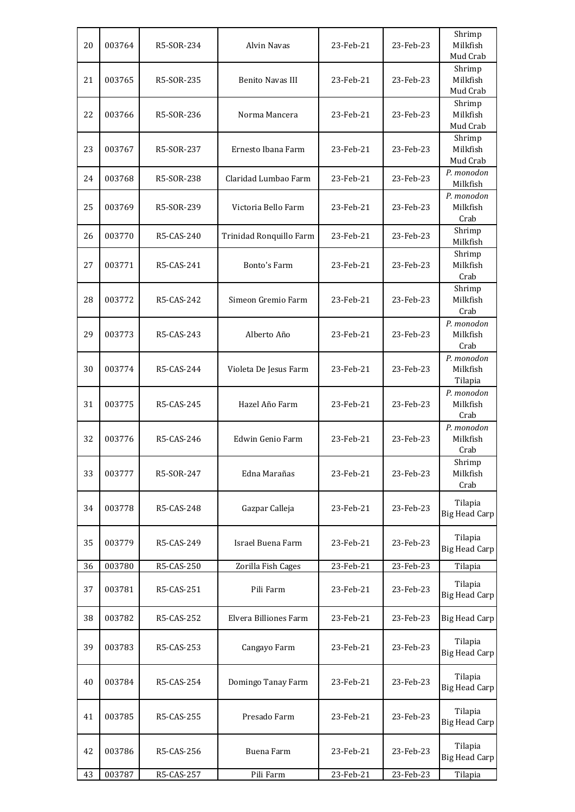| 20 | 003764 | R5-SOR-234 | Alvin Navas             | 23-Feb-21 | 23-Feb-23 | Shrimp<br>Milkfish                |
|----|--------|------------|-------------------------|-----------|-----------|-----------------------------------|
|    |        |            |                         |           |           | Mud Crab                          |
| 21 | 003765 | R5-SOR-235 | <b>Benito Navas III</b> | 23-Feb-21 | 23-Feb-23 | Shrimp<br>Milkfish<br>Mud Crab    |
| 22 | 003766 | R5-SOR-236 | Norma Mancera           | 23-Feb-21 | 23-Feb-23 | Shrimp<br>Milkfish<br>Mud Crab    |
| 23 | 003767 | R5-SOR-237 | Ernesto Ibana Farm      | 23-Feb-21 | 23-Feb-23 | Shrimp<br>Milkfish<br>Mud Crab    |
| 24 | 003768 | R5-SOR-238 | Claridad Lumbao Farm    | 23-Feb-21 | 23-Feb-23 | P. monodon<br>Milkfish            |
| 25 | 003769 | R5-SOR-239 | Victoria Bello Farm     | 23-Feb-21 | 23-Feb-23 | P. monodon<br>Milkfish<br>Crab    |
| 26 | 003770 | R5-CAS-240 | Trinidad Ronquillo Farm | 23-Feb-21 | 23-Feb-23 | Shrimp<br>Milkfish                |
| 27 | 003771 | R5-CAS-241 | Bonto's Farm            | 23-Feb-21 | 23-Feb-23 | Shrimp<br>Milkfish<br>Crab        |
| 28 | 003772 | R5-CAS-242 | Simeon Gremio Farm      | 23-Feb-21 | 23-Feb-23 | Shrimp<br>Milkfish<br>Crab        |
| 29 | 003773 | R5-CAS-243 | Alberto Año             | 23-Feb-21 | 23-Feb-23 | P. monodon<br>Milkfish<br>Crab    |
| 30 | 003774 | R5-CAS-244 | Violeta De Jesus Farm   | 23-Feb-21 | 23-Feb-23 | P. monodon<br>Milkfish<br>Tilapia |
| 31 | 003775 | R5-CAS-245 | Hazel Año Farm          | 23-Feb-21 | 23-Feb-23 | P. monodon<br>Milkfish<br>Crab    |
| 32 | 003776 | R5-CAS-246 | Edwin Genio Farm        | 23-Feb-21 | 23-Feb-23 | P. monodon<br>Milkfish<br>Crab    |
| 33 | 003777 | R5-SOR-247 | Edna Marañas            | 23-Feb-21 | 23-Feb-23 | Shrimp<br>Milkfish<br>Crab        |
| 34 | 003778 | R5-CAS-248 | Gazpar Calleja          | 23-Feb-21 | 23-Feb-23 | Tilapia<br><b>Big Head Carp</b>   |
| 35 | 003779 | R5-CAS-249 | Israel Buena Farm       | 23-Feb-21 | 23-Feb-23 | Tilapia<br><b>Big Head Carp</b>   |
| 36 | 003780 | R5-CAS-250 | Zorilla Fish Cages      | 23-Feb-21 | 23-Feb-23 | Tilapia                           |
| 37 | 003781 | R5-CAS-251 | Pili Farm               | 23-Feb-21 | 23-Feb-23 | Tilapia<br><b>Big Head Carp</b>   |
| 38 | 003782 | R5-CAS-252 | Elvera Billiones Farm   | 23-Feb-21 | 23-Feb-23 | <b>Big Head Carp</b>              |
| 39 | 003783 | R5-CAS-253 | Cangayo Farm            | 23-Feb-21 | 23-Feb-23 | Tilapia<br><b>Big Head Carp</b>   |
| 40 | 003784 | R5-CAS-254 | Domingo Tanay Farm      | 23-Feb-21 | 23-Feb-23 | Tilapia<br><b>Big Head Carp</b>   |
| 41 | 003785 | R5-CAS-255 | Presado Farm            | 23-Feb-21 | 23-Feb-23 | Tilapia<br><b>Big Head Carp</b>   |
| 42 | 003786 | R5-CAS-256 | Buena Farm              | 23-Feb-21 | 23-Feb-23 | Tilapia<br><b>Big Head Carp</b>   |
| 43 | 003787 | R5-CAS-257 | Pili Farm               | 23-Feb-21 | 23-Feb-23 | Tilapia                           |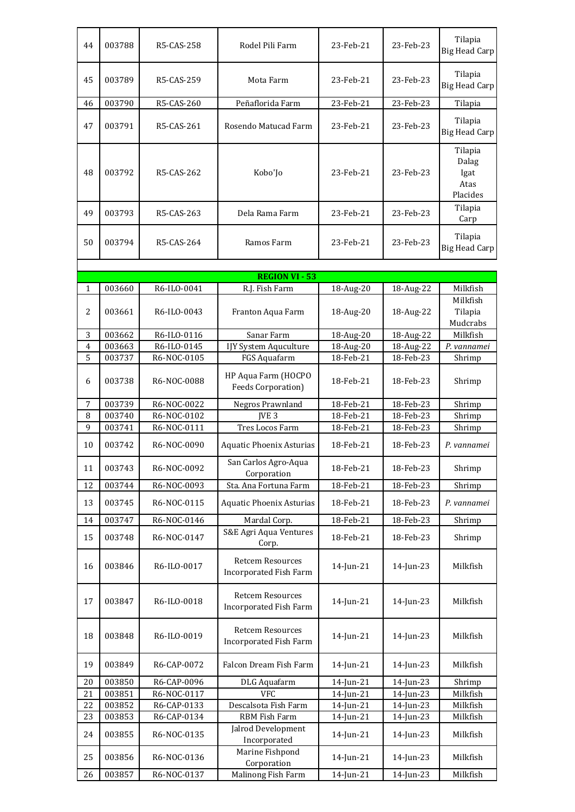| 44 | 003788 | R5-CAS-258  | Rodel Pili Farm                                          | 23-Feb-21 | 23-Feb-23 | Tilapia<br><b>Big Head Carp</b>              |
|----|--------|-------------|----------------------------------------------------------|-----------|-----------|----------------------------------------------|
| 45 | 003789 | R5-CAS-259  | Mota Farm                                                | 23-Feb-21 | 23-Feb-23 | Tilapia<br><b>Big Head Carp</b>              |
| 46 | 003790 | R5-CAS-260  | Peñaflorida Farm                                         | 23-Feb-21 | 23-Feb-23 | Tilapia                                      |
| 47 | 003791 | R5-CAS-261  | Rosendo Matucad Farm                                     | 23-Feb-21 | 23-Feb-23 | Tilapia<br><b>Big Head Carp</b>              |
| 48 | 003792 | R5-CAS-262  | Kobo'Jo                                                  | 23-Feb-21 | 23-Feb-23 | Tilapia<br>Dalag<br>Igat<br>Atas<br>Placides |
| 49 | 003793 | R5-CAS-263  | Dela Rama Farm                                           | 23-Feb-21 | 23-Feb-23 | Tilapia<br>Carp                              |
| 50 | 003794 | R5-CAS-264  | Ramos Farm                                               | 23-Feb-21 | 23-Feb-23 | Tilapia<br><b>Big Head Carp</b>              |
|    |        |             | <b>REGION VI - 53</b>                                    |           |           |                                              |
| 1  | 003660 | R6-ILO-0041 | R.J. Fish Farm                                           | 18-Aug-20 | 18-Aug-22 | Milkfish                                     |
| 2  | 003661 | R6-ILO-0043 | Franton Aqua Farm                                        | 18-Aug-20 | 18-Aug-22 | Milkfish<br>Tilapia<br>Mudcrabs              |
| 3  | 003662 | R6-ILO-0116 | Sanar Farm                                               | 18-Aug-20 | 18-Aug-22 | Milkfish                                     |
| 4  | 003663 | R6-ILO-0145 | IJY System Aquculture                                    | 18-Aug-20 | 18-Aug-22 | P. vannamei                                  |
| 5  | 003737 | R6-NOC-0105 | FGS Aquafarm                                             | 18-Feb-21 | 18-Feb-23 | Shrimp                                       |
| 6  | 003738 | R6-NOC-0088 | HP Aqua Farm (HOCPO<br><b>Feeds Corporation)</b>         | 18-Feb-21 | 18-Feb-23 | Shrimp                                       |
| 7  | 003739 | R6-NOC-0022 | Negros Prawnland                                         | 18-Feb-21 | 18-Feb-23 | Shrimp                                       |
| 8  | 003740 | R6-NOC-0102 | IVE <sub>3</sub>                                         | 18-Feb-21 | 18-Feb-23 | Shrimp                                       |
| 9  | 003741 | R6-NOC-0111 | Tres Locos Farm                                          | 18-Feb-21 | 18-Feb-23 | Shrimp                                       |
| 10 | 003742 | R6-NOC-0090 | <b>Aquatic Phoenix Asturias</b>                          | 18-Feb-21 | 18-Feb-23 | P. vannamei                                  |
| 11 | 003743 | R6-NOC-0092 | San Carlos Agro-Aqua<br>Corporation                      | 18-Feb-21 | 18-Feb-23 | Shrimp                                       |
| 12 | 003744 | R6-NOC-0093 | Sta. Ana Fortuna Farm                                    | 18-Feb-21 | 18-Feb-23 | Shrimp                                       |
| 13 | 003745 | R6-NOC-0115 | <b>Aquatic Phoenix Asturias</b>                          | 18-Feb-21 | 18-Feb-23 | P. vannamei                                  |
| 14 | 003747 | R6-NOC-0146 | Mardal Corp.                                             | 18-Feb-21 | 18-Feb-23 | Shrimp                                       |
| 15 | 003748 | R6-NOC-0147 | S&E Agri Aqua Ventures<br>Corp.                          | 18-Feb-21 | 18-Feb-23 | Shrimp                                       |
| 16 | 003846 | R6-ILO-0017 | <b>Retcem Resources</b><br>Incorporated Fish Farm        | 14-Jun-21 | 14-Jun-23 | Milkfish                                     |
| 17 | 003847 | R6-ILO-0018 | <b>Retcem Resources</b><br>Incorporated Fish Farm        | 14-Jun-21 | 14-Jun-23 | Milkfish                                     |
| 18 | 003848 | R6-ILO-0019 | <b>Retcem Resources</b><br><b>Incorporated Fish Farm</b> | 14-Jun-21 | 14-Jun-23 | Milkfish                                     |
| 19 | 003849 | R6-CAP-0072 | Falcon Dream Fish Farm                                   | 14-Jun-21 | 14-Jun-23 | Milkfish                                     |
| 20 | 003850 | R6-CAP-0096 | DLG Aquafarm                                             | 14-Jun-21 | 14-Jun-23 | Shrimp                                       |
| 21 | 003851 | R6-NOC-0117 | <b>VFC</b>                                               | 14-Jun-21 | 14-Jun-23 | Milkfish                                     |
| 22 | 003852 | R6-CAP-0133 | Descalsota Fish Farm                                     | 14-Jun-21 | 14-Jun-23 | Milkfish                                     |
| 23 | 003853 | R6-CAP-0134 | RBM Fish Farm                                            | 14-Jun-21 | 14-Jun-23 | Milkfish                                     |
| 24 | 003855 | R6-NOC-0135 | Jalrod Development<br>Incorporated                       | 14-Jun-21 | 14-Jun-23 | Milkfish                                     |
| 25 | 003856 | R6-NOC-0136 | Marine Fishpond<br>Corporation                           | 14-Jun-21 | 14-Jun-23 | Milkfish                                     |
| 26 | 003857 | R6-NOC-0137 | Malinong Fish Farm                                       | 14-Jun-21 | 14-Jun-23 | Milkfish                                     |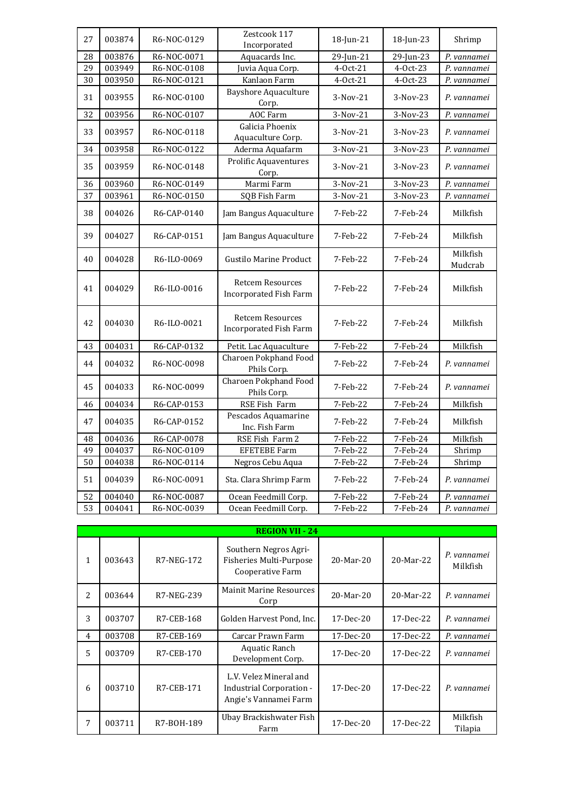| 27 | 003874 | R6-NOC-0129 | Zestcook 117<br>Incorporated                             | 18-Jun-21  | 18-Jun-23  | Shrimp              |
|----|--------|-------------|----------------------------------------------------------|------------|------------|---------------------|
| 28 | 003876 | R6-NOC-0071 | Aquacards Inc.                                           | 29-Jun-21  | 29-Jun-23  | P. vannamei         |
| 29 | 003949 | R6-NOC-0108 | Juvia Aqua Corp.                                         | 4-Oct-21   | 4-Oct-23   | P. vannamei         |
| 30 | 003950 | R6-NOC-0121 | Kanlaon Farm                                             | 4-Oct-21   | 4-Oct-23   | P. vannamei         |
| 31 | 003955 | R6-NOC-0100 | <b>Bayshore Aquaculture</b><br>Corp.                     | $3-Nov-21$ | $3-Nov-23$ | P. vannamei         |
| 32 | 003956 | R6-NOC-0107 | <b>AOC Farm</b>                                          | 3-Nov-21   | 3-Nov-23   | P. vannamei         |
| 33 | 003957 | R6-NOC-0118 | Galicia Phoenix<br>Aquaculture Corp.                     | $3-Nov-21$ | $3-Nov-23$ | P. vannamei         |
| 34 | 003958 | R6-NOC-0122 | Aderma Aquafarm                                          | 3-Nov-21   | 3-Nov-23   | P. vannamei         |
| 35 | 003959 | R6-NOC-0148 | <b>Prolific Aquaventures</b><br>Corp.                    | $3-Nov-21$ | $3-Nov-23$ | P. vannamei         |
| 36 | 003960 | R6-NOC-0149 | Marmi Farm                                               | 3-Nov-21   | 3-Nov-23   | P. vannamei         |
| 37 | 003961 | R6-NOC-0150 | SQB Fish Farm                                            | $3-Nov-21$ | 3-Nov-23   | P. vannamei         |
| 38 | 004026 | R6-CAP-0140 | Jam Bangus Aquaculture                                   | 7-Feb-22   | 7-Feb-24   | Milkfish            |
| 39 | 004027 | R6-CAP-0151 | Jam Bangus Aquaculture                                   | 7-Feb-22   | 7-Feb-24   | Milkfish            |
| 40 | 004028 | R6-ILO-0069 | <b>Gustilo Marine Product</b>                            | 7-Feb-22   | 7-Feb-24   | Milkfish<br>Mudcrab |
| 41 | 004029 | R6-ILO-0016 | <b>Retcem Resources</b><br><b>Incorporated Fish Farm</b> | 7-Feb-22   | 7-Feb-24   | Milkfish            |
| 42 | 004030 | R6-ILO-0021 | <b>Retcem Resources</b><br><b>Incorporated Fish Farm</b> | 7-Feb-22   | 7-Feb-24   | Milkfish            |
| 43 | 004031 | R6-CAP-0132 | Petit. Lac Aquaculture                                   | 7-Feb-22   | 7-Feb-24   | Milkfish            |
| 44 | 004032 | R6-NOC-0098 | Charoen Pokphand Food<br>Phils Corp.                     | 7-Feb-22   | 7-Feb-24   | P. vannamei         |
| 45 | 004033 | R6-NOC-0099 | Charoen Pokphand Food<br>Phils Corp.                     | 7-Feb-22   | 7-Feb-24   | P. vannamei         |
| 46 | 004034 | R6-CAP-0153 | RSE Fish Farm                                            | 7-Feb-22   | 7-Feb-24   | Milkfish            |
| 47 | 004035 | R6-CAP-0152 | Pescados Aquamarine<br>Inc. Fish Farm                    | 7-Feb-22   | 7-Feb-24   | Milkfish            |
| 48 | 004036 | R6-CAP-0078 | RSE Fish Farm 2                                          | 7-Feb-22   | 7-Feb-24   | Milkfish            |
| 49 | 004037 | R6-NOC-0109 | <b>EFETEBE Farm</b>                                      | 7-Feb-22   | 7-Feb-24   | Shrimp              |
| 50 | 004038 | R6-NOC-0114 | Negros Cebu Aqua                                         | 7-Feb-22   | 7-Feb-24   | Shrimp              |
| 51 | 004039 | R6-NOC-0091 | Sta. Clara Shrimp Farm                                   | 7-Feb-22   | 7-Feb-24   | P. vannamei         |
| 52 | 004040 | R6-NOC-0087 | Ocean Feedmill Corp.                                     | 7-Feb-22   | 7-Feb-24   | P. vannamei         |
| 53 | 004041 | R6-NOC-0039 | Ocean Feedmill Corp.                                     | 7-Feb-22   | 7-Feb-24   | P. vannamei         |

|                          |        |            | <b>REGION VII - 24</b>                                                      |                 |           |                         |
|--------------------------|--------|------------|-----------------------------------------------------------------------------|-----------------|-----------|-------------------------|
| 1                        | 003643 | R7-NEG-172 | Southern Negros Agri-<br>Fisheries Multi-Purpose<br>Cooperative Farm        | $20$ -Mar- $20$ | 20-Mar-22 | P. vannamei<br>Milkfish |
| $\overline{\mathcal{L}}$ | 003644 | R7-NEG-239 | <b>Mainit Marine Resources</b><br>Corp                                      | $20$ -Mar- $20$ | 20-Mar-22 | P. vannamei             |
| 3                        | 003707 | R7-CEB-168 | Golden Harvest Pond, Inc.                                                   | 17-Dec-20       | 17-Dec-22 | P. vannamei             |
| 4                        | 003708 | R7-CEB-169 | Carcar Prawn Farm                                                           | 17-Dec-20       | 17-Dec-22 | P. vannamei             |
| 5                        | 003709 | R7-CEB-170 | Aquatic Ranch<br>Development Corp.                                          | $17$ -Dec- $20$ | 17-Dec-22 | P. vannamei             |
| 6                        | 003710 | R7-CEB-171 | L.V. Velez Mineral and<br>Industrial Corporation -<br>Angie's Vannamei Farm | $17$ -Dec- $20$ | 17-Dec-22 | P. vannamei             |
| 7                        | 003711 | R7-B0H-189 | Ubay Brackishwater Fish<br>Farm                                             | 17-Dec-20       | 17-Dec-22 | Milkfish<br>Tilapia     |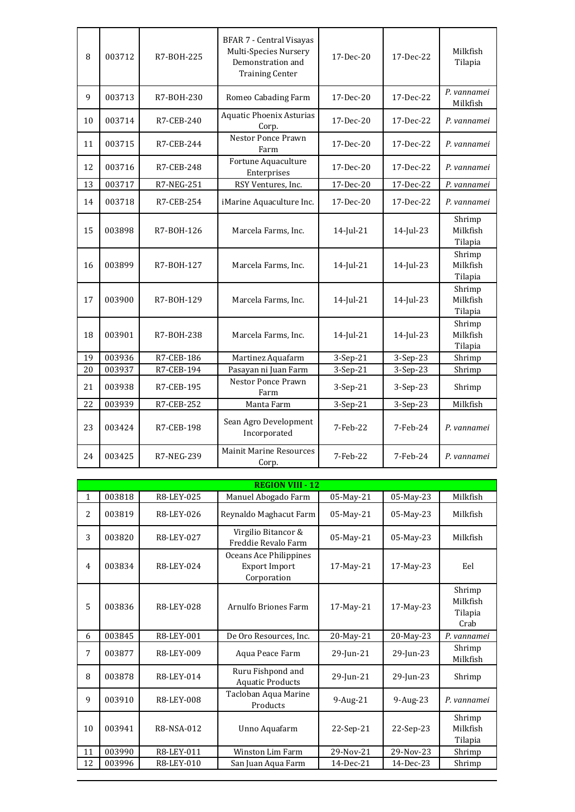| 8  | 003712 | R7-B0H-225 | <b>BFAR 7 - Central Visayas</b><br>Multi-Species Nursery<br>Demonstration and<br><b>Training Center</b> | 17-Dec-20 | 17-Dec-22 | Milkfish<br>Tilapia           |
|----|--------|------------|---------------------------------------------------------------------------------------------------------|-----------|-----------|-------------------------------|
| 9  | 003713 | R7-B0H-230 | Romeo Cabading Farm                                                                                     | 17-Dec-20 | 17-Dec-22 | P. vannamei<br>Milkfish       |
| 10 | 003714 | R7-CEB-240 | <b>Aquatic Phoenix Asturias</b><br>Corp.                                                                | 17-Dec-20 | 17-Dec-22 | P. vannamei                   |
| 11 | 003715 | R7-CEB-244 | Nestor Ponce Prawn<br>Farm                                                                              | 17-Dec-20 | 17-Dec-22 | P. vannamei                   |
| 12 | 003716 | R7-CEB-248 | Fortune Aquaculture<br>Enterprises                                                                      | 17-Dec-20 | 17-Dec-22 | P. vannamei                   |
| 13 | 003717 | R7-NEG-251 | RSY Ventures, Inc.                                                                                      | 17-Dec-20 | 17-Dec-22 | P. vannamei                   |
| 14 | 003718 | R7-CEB-254 | iMarine Aquaculture Inc.                                                                                | 17-Dec-20 | 17-Dec-22 | P. vannamei                   |
| 15 | 003898 | R7-B0H-126 | Marcela Farms, Inc.                                                                                     | 14-Jul-21 | 14-Jul-23 | Shrimp<br>Milkfish<br>Tilapia |
| 16 | 003899 | R7-B0H-127 | Marcela Farms, Inc.                                                                                     | 14-Jul-21 | 14-Jul-23 | Shrimp<br>Milkfish<br>Tilapia |
| 17 | 003900 | R7-B0H-129 | Marcela Farms, Inc.                                                                                     | 14-Jul-21 | 14-Jul-23 | Shrimp<br>Milkfish<br>Tilapia |
| 18 | 003901 | R7-B0H-238 | Marcela Farms, Inc.                                                                                     | 14-Jul-21 | 14-Jul-23 | Shrimp<br>Milkfish<br>Tilapia |
| 19 | 003936 | R7-CEB-186 | Martinez Aquafarm                                                                                       | 3-Sep-21  | 3-Sep-23  | Shrimp                        |
| 20 | 003937 | R7-CEB-194 | Pasayan ni Juan Farm                                                                                    | 3-Sep-21  | 3-Sep-23  | Shrimp                        |
| 21 | 003938 | R7-CEB-195 | Nestor Ponce Prawn<br>Farm                                                                              | 3-Sep-21  | 3-Sep-23  | Shrimp                        |
| 22 | 003939 | R7-CEB-252 | Manta Farm                                                                                              | 3-Sep-21  | 3-Sep-23  | Milkfish                      |
| 23 | 003424 | R7-CEB-198 | Sean Agro Development<br>Incorporated                                                                   | 7-Feb-22  | 7-Feb-24  | P. vannamei                   |
| 24 | 003425 | R7-NEG-239 | <b>Mainit Marine Resources</b><br>Corp.                                                                 | 7-Feb-22  | 7-Feb-24  | P. vannamei                   |

|                | <b>REGION VIII - 12</b> |            |                                                               |                 |           |                                       |  |  |  |
|----------------|-------------------------|------------|---------------------------------------------------------------|-----------------|-----------|---------------------------------------|--|--|--|
| $\mathbf{1}$   | 003818                  | R8-LEY-025 | Manuel Abogado Farm                                           | 05-May-21       | 05-May-23 | Milkfish                              |  |  |  |
| 2              | 003819                  | R8-LEY-026 | Reynaldo Maghacut Farm                                        | 05-May-21       | 05-May-23 | Milkfish                              |  |  |  |
| 3              | 003820                  | R8-LEY-027 | Virgilio Bitancor &<br>Freddie Revalo Farm                    | 05-May-21       | 05-May-23 | Milkfish                              |  |  |  |
| $\overline{4}$ | 003834                  | R8-LEY-024 | Oceans Ace Philippines<br><b>Export Import</b><br>Corporation | 17-May-21       | 17-May-23 | Eel                                   |  |  |  |
| 5              | 003836                  | R8-LEY-028 | Arnulfo Briones Farm                                          | $17$ -May- $21$ | 17-May-23 | Shrimp<br>Milkfish<br>Tilapia<br>Crab |  |  |  |
| 6              | 003845                  | R8-LEY-001 | De Oro Resources, Inc.                                        | 20-May-21       | 20-May-23 | P. vannamei                           |  |  |  |
| 7              | 003877                  | R8-LEY-009 | Aqua Peace Farm                                               | 29-Jun-21       | 29-Jun-23 | Shrimp<br>Milkfish                    |  |  |  |
| 8              | 003878                  | R8-LEY-014 | Ruru Fishpond and<br><b>Aquatic Products</b>                  | 29-Jun-21       | 29-Jun-23 | Shrimp                                |  |  |  |
| 9              | 003910                  | R8-LEY-008 | Tacloban Aqua Marine<br>Products                              | 9-Aug-21        | 9-Aug-23  | P. vannamei                           |  |  |  |
| 10             | 003941                  | R8-NSA-012 | Unno Aquafarm                                                 | 22-Sep-21       | 22-Sep-23 | Shrimp<br>Milkfish<br>Tilapia         |  |  |  |
| 11             | 003990                  | R8-LEY-011 | Winston Lim Farm                                              | 29-Nov-21       | 29-Nov-23 | Shrimp                                |  |  |  |
| 12             | 003996                  | R8-LEY-010 | San Juan Aqua Farm                                            | 14-Dec-21       | 14-Dec-23 | Shrimp                                |  |  |  |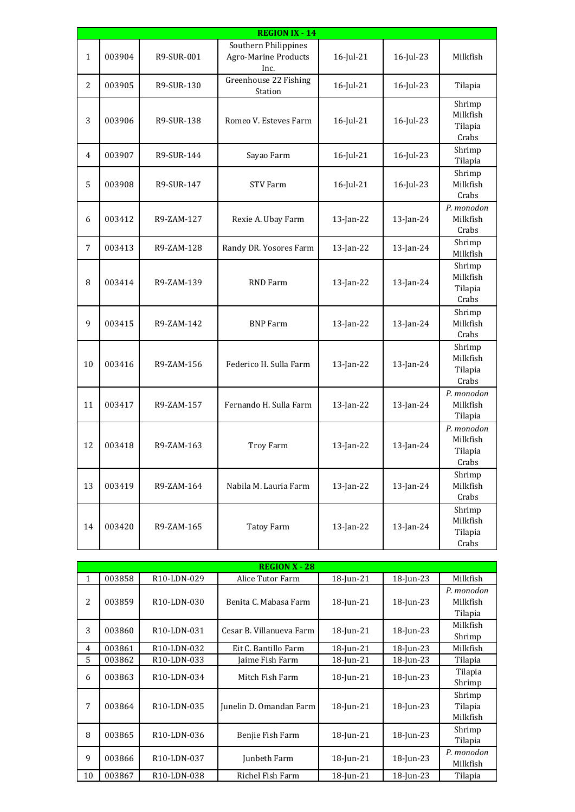|              |        |            | <b>REGION IX - 14</b>                                       |              |           |                                            |
|--------------|--------|------------|-------------------------------------------------------------|--------------|-----------|--------------------------------------------|
| $\mathbf{1}$ | 003904 | R9-SUR-001 | Southern Philippines<br><b>Agro-Marine Products</b><br>Inc. | 16-Jul-21    | 16-Jul-23 | Milkfish                                   |
| 2            | 003905 | R9-SUR-130 | Greenhouse 22 Fishing<br>Station                            | 16-Jul-21    | 16-Jul-23 | Tilapia                                    |
| 3            | 003906 | R9-SUR-138 | Romeo V. Esteves Farm                                       | 16-Jul-21    | 16-Jul-23 | Shrimp<br>Milkfish<br>Tilapia<br>Crabs     |
| 4            | 003907 | R9-SUR-144 | Sayao Farm                                                  | $16$ -Jul-21 | 16-Jul-23 | Shrimp<br>Tilapia                          |
| 5            | 003908 | R9-SUR-147 | <b>STV Farm</b>                                             | 16-Jul-21    | 16-Jul-23 | Shrimp<br>Milkfish<br>Crabs                |
| 6            | 003412 | R9-ZAM-127 | Rexie A. Ubay Farm                                          | 13-Jan-22    | 13-Jan-24 | P. monodon<br>Milkfish<br>Crabs            |
| 7            | 003413 | R9-ZAM-128 | Randy DR. Yosores Farm                                      | 13-Jan-22    | 13-Jan-24 | Shrimp<br>Milkfish                         |
| 8            | 003414 | R9-ZAM-139 | RND Farm                                                    | 13-Jan-22    | 13-Jan-24 | Shrimp<br>Milkfish<br>Tilapia<br>Crabs     |
| 9            | 003415 | R9-ZAM-142 | <b>BNP</b> Farm                                             | 13-Jan-22    | 13-Jan-24 | Shrimp<br>Milkfish<br>Crabs                |
| 10           | 003416 | R9-ZAM-156 | Federico H. Sulla Farm                                      | $13$ -Jan-22 | 13-Jan-24 | Shrimp<br>Milkfish<br>Tilapia<br>Crabs     |
| 11           | 003417 | R9-ZAM-157 | Fernando H. Sulla Farm                                      | 13-Jan-22    | 13-Jan-24 | P. monodon<br>Milkfish<br>Tilapia          |
| 12           | 003418 | R9-ZAM-163 | Troy Farm                                                   | 13-Jan-22    | 13-Jan-24 | P. monodon<br>Milkfish<br>Tilapia<br>Crabs |
| 13           | 003419 | R9-ZAM-164 | Nabila M. Lauria Farm                                       | 13-Jan-22    | 13-Jan-24 | Shrimp<br>Milkfish<br>Crabs                |
| 14           | 003420 | R9-ZAM-165 | Tatoy Farm                                                  | 13-Jan-22    | 13-Jan-24 | Shrimp<br>Milkfish<br>Tilapia<br>Crabs     |

|              |        |                                       | <b>REGION X - 28</b>     |              |              |                                   |
|--------------|--------|---------------------------------------|--------------------------|--------------|--------------|-----------------------------------|
| 1            | 003858 | R <sub>10</sub> -LDN-029              | Alice Tutor Farm         | 18-Jun-21    | 18-Jun-23    | Milkfish                          |
| 2            | 003859 | R <sub>10</sub> -LDN-030              | Benita C. Mabasa Farm    | $18$ -Jun-21 | 18-Jun-23    | P. monodon<br>Milkfish<br>Tilapia |
| 3            | 003860 | R <sub>10</sub> -LDN-031              | Cesar B. Villanueva Farm | $18$ -Jun-21 | $18$ -Jun-23 | Milkfish<br>Shrimp                |
| 4            | 003861 | R <sub>10</sub> -LDN-032              | Eit C. Bantillo Farm     | 18-Jun-21    | 18-Jun-23    | Milkfish                          |
| 5            | 003862 | R10-LDN-033                           | Jaime Fish Farm          | 18-Jun-21    | 18-Jun-23    | Tilapia                           |
| 6            | 003863 | R <sub>10</sub> -LDN-034              | Mitch Fish Farm          | 18-Jun-21    | $18$ -Jun-23 | Tilapia<br>Shrimp                 |
| 7            | 003864 | R10-LDN-035                           | Junelin D. Omandan Farm  | 18-Jun-21    | 18-Jun-23    | Shrimp<br>Tilapia<br>Milkfish     |
| 8            | 003865 | R <sub>10</sub> -LDN-036              | Benjie Fish Farm         | 18-Jun-21    | 18-Jun-23    | Shrimp<br>Tilapia                 |
| $\mathbf{q}$ | 003866 | R <sub>10</sub> -L <sub>DN</sub> -037 | Junbeth Farm             | 18-Jun-21    | 18-Jun-23    | P. monodon<br>Milkfish            |
| 10           | 003867 | R10-LDN-038                           | Richel Fish Farm         | 18-Jun-21    | 18-Jun-23    | Tilapia                           |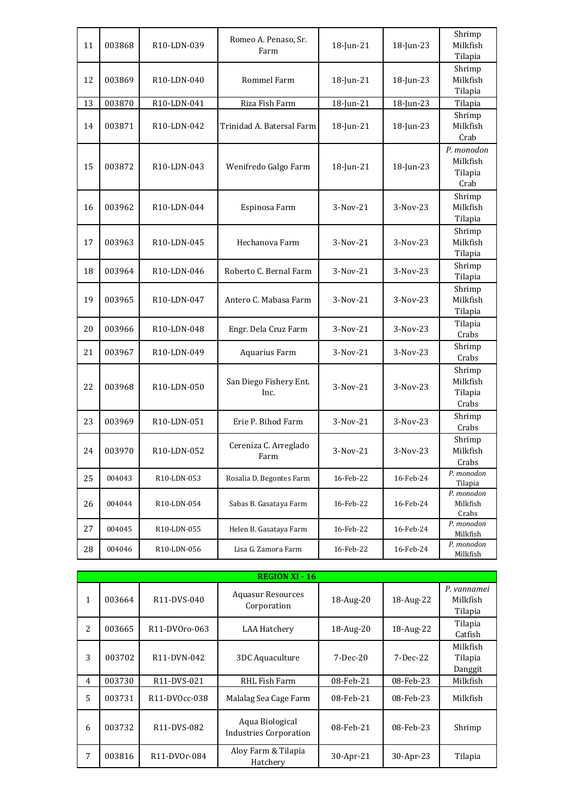| 11 | 003868 | R10-LDN-039              | Romeo A. Penaso, Sr.<br>Farm   | 18-Jun-21    | 18-Jun-23    | Shrimp<br>Milkfish<br>Tilapia             |
|----|--------|--------------------------|--------------------------------|--------------|--------------|-------------------------------------------|
| 12 | 003869 | R <sub>10</sub> -LDN-040 | <b>Rommel Farm</b>             | $18$ -Jun-21 | $18$ -Jun-23 | Shrimp<br>Milkfish<br>Tilapia             |
| 13 | 003870 | R10-LDN-041              | Riza Fish Farm                 | 18-Jun-21    | 18-Jun-23    | Tilapia                                   |
| 14 | 003871 | R <sub>10</sub> -LDN-042 | Trinidad A. Batersal Farm      | 18-Jun-21    | $18$ -Jun-23 | Shrimp<br>Milkfish<br>Crab                |
| 15 | 003872 | R <sub>10</sub> -LDN-043 | Wenifredo Galgo Farm           | 18-Jun-21    | 18-Jun-23    | P. monodon<br>Milkfish<br>Tilapia<br>Crab |
| 16 | 003962 | R10-LDN-044              | Espinosa Farm                  | 3-Nov-21     | 3-Nov-23     | Shrimp<br>Milkfish<br>Tilapia             |
| 17 | 003963 | R10-LDN-045              | Hechanova Farm                 | 3-Nov-21     | $3-Nov-23$   | Shrimp<br>Milkfish<br>Tilapia             |
| 18 | 003964 | R10-LDN-046              | Roberto C. Bernal Farm         | $3-Nov-21$   | 3-Nov-23     | Shrimp<br>Tilapia                         |
| 19 | 003965 | R10-LDN-047              | Antero C. Mabasa Farm          | 3-Nov-21     | 3-Nov-23     | Shrimp<br>Milkfish<br>Tilapia             |
| 20 | 003966 | R10-LDN-048              | Engr. Dela Cruz Farm           | $3-Nov-21$   | 3-Nov-23     | Tilapia<br>Crabs                          |
| 21 | 003967 | R10-LDN-049              | Aquarius Farm                  | 3-Nov-21     | 3-Nov-23     | Shrimp<br>Crabs                           |
| 22 | 003968 | R10-LDN-050              | San Diego Fishery Ent.<br>Inc. | 3-Nov-21     | 3-Nov-23     | Shrimp<br>Milkfish<br>Tilapia<br>Crabs    |
| 23 | 003969 | R10-LDN-051              | Erie P. Bihod Farm             | 3-Nov-21     | 3-Nov-23     | Shrimp<br>Crabs                           |
| 24 | 003970 | R10-LDN-052              | Cereniza C. Arreglado<br>Farm  | 3-Nov-21     | 3-Nov-23     | Shrimp<br>Milkfish<br>Crabs               |
| 25 | 004043 | R10-LDN-053              | Rosalia D. Begontes Farm       | 16-Feb-22    | 16-Feb-24    | P. monodon<br>Tilapia                     |
| 26 | 004044 | R10-LDN-054              | Sabas B. Gasataya Farm         | 16-Feb-22    | 16-Feb-24    | P. monodon<br>Milkfish<br>Crabs           |
| 27 | 004045 | R10-LDN-055              | Helen B. Gasataya Farm         | 16-Feb-22    | 16-Feb-24    | P. monodon<br>Milkfish                    |
| 28 | 004046 | R10-LDN-056              | Lisa G. Zamora Farm            | 16-Feb-22    | 16-Feb-24    | P. monodon<br>Milkfish                    |

| 28 | 004046 | R <sub>10</sub> -LDN-056 | Lisa G. Zamora Farm                       | 16-Feb-22  | 16-Feb-24 | Milkfish                           |
|----|--------|--------------------------|-------------------------------------------|------------|-----------|------------------------------------|
|    |        |                          | <b>REGION XI - 16</b>                     |            |           |                                    |
| 1  | 003664 | R11-DVS-040              | <b>Aquasur Resources</b><br>Corporation   | 18-Aug-20  | 18-Aug-22 | P. vannamei<br>Milkfish<br>Tilapia |
| 2  | 003665 | R11-DV0ro-063            | LAA Hatchery                              | 18-Aug-20  | 18-Aug-22 | Tilapia<br>Catfish                 |
| 3  | 003702 | R11-DVN-042              | 3DC Aquaculture                           | $7-Dec-20$ | 7-Dec-22  | Milkfish<br>Tilapia<br>Danggit     |
| 4  | 003730 | R11-DVS-021              | RHL Fish Farm                             | 08-Feb-21  | 08-Feb-23 | Milkfish                           |
| 5  | 003731 | R11-DV0cc-038            | Malalag Sea Cage Farm                     | 08-Feb-21  | 08-Feb-23 | Milkfish                           |
| 6  | 003732 | R11-DVS-082              | Aqua Biological<br>Industries Corporation | 08-Feb-21  | 08-Feb-23 | Shrimp                             |
| 7  | 003816 | R11-DV0r-084             | Aloy Farm & Tilapia<br>Hatchery           | 30-Apr-21  | 30-Apr-23 | Tilapia                            |